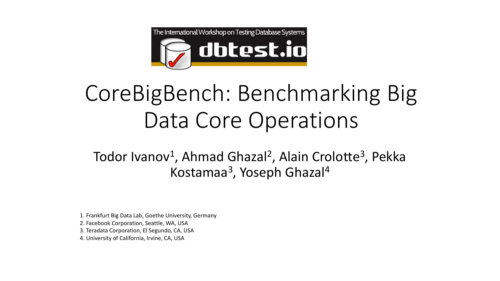

# CoreBigBench: Benchmarking Big Data Core Operations

Todor Ivanov<sup>1</sup>, Ahmad Ghazal<sup>2</sup>, Alain Crolotte<sup>3</sup>, Pekka Kostamaa<sup>3</sup>, Yoseph Ghazal<sup>4</sup>

1. Frankfurt Big Data Lab, Goethe University, Germany 2. Facebook Corporation, Seattle, WA, USA

3. Teradata Corporation, El Segundo, CA, USA

4. University of California, Irvine, CA, USA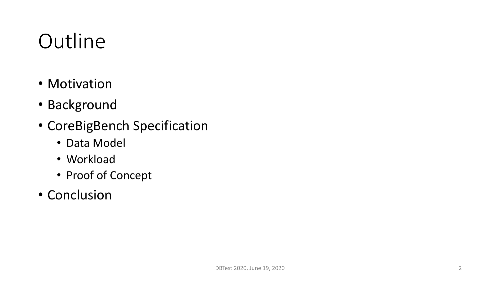### **Outline**

- Motivation
- Background
- CoreBigBench Specification
	- Data Model
	- Workload
	- Proof of Concept
- Conclusion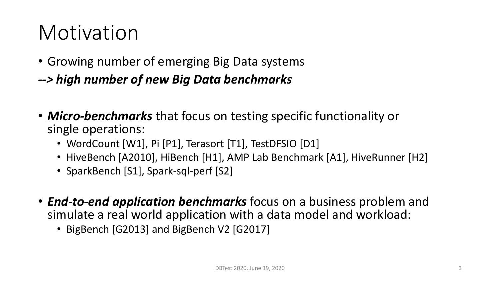### Motivation

- Growing number of emerging Big Data systems
- *--> high number of new Big Data benchmarks*
- *Micro-benchmarks* that focus on testing specific functionality or single operations:
	- WordCount [W1], Pi [P1], Terasort [T1], TestDFSIO [D1]
	- HiveBench [A2010], HiBench [H1], AMP Lab Benchmark [A1], HiveRunner [H2]
	- SparkBench [S1], Spark-sql-perf [S2]
- *End-to-end application benchmarks* focus on a business problem and simulate a real world application with a data model and workload:
	- BigBench [G2013] and BigBench V2 [G2017]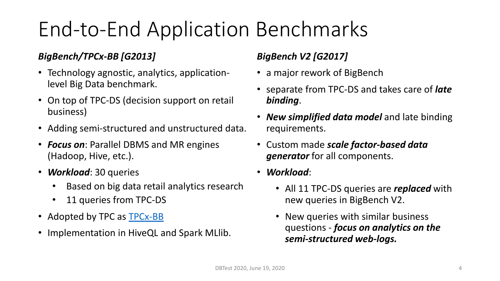## End-to-End Application Benchmarks

#### *BigBench/TPCx-BB [G2013]*

- Technology agnostic, analytics, applicationlevel Big Data benchmark.
- On top of TPC-DS (decision support on retail business)
- Adding semi-structured and unstructured data.
- *Focus on*: Parallel DBMS and MR engines (Hadoop, Hive, etc.).
- *Workload*: 30 queries
	- Based on big data retail analytics research
	- 11 queries from TPC-DS
- Adopted by TPC as **[TPCx-BB](http://www.tpc.org/tpcx-bb/)**
- Implementation in HiveQL and Spark MLlib.

#### *BigBench V2 [G2017]*

- a major rework of BigBench
- separate from TPC-DS and takes care of *late binding*.
- *New simplified data model* and late binding requirements.
- Custom made *scale factor-based data generator* for all components.
- *Workload*:
	- All 11 TPC-DS queries are *replaced* with new queries in BigBench V2.
	- New queries with similar business questions - *focus on analytics on the semi-structured web-logs.*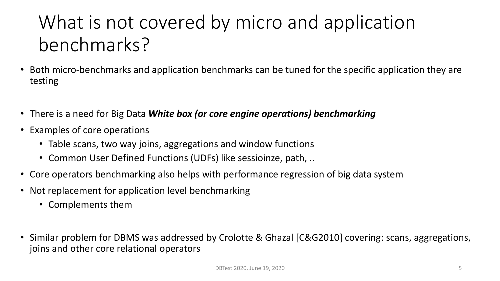### What is not covered by micro and application benchmarks?

- Both micro-benchmarks and application benchmarks can be tuned for the specific application they are testing
- There is a need for Big Data *White box (or core engine operations) benchmarking*
- Examples of core operations
	- Table scans, two way joins, aggregations and window functions
	- Common User Defined Functions (UDFs) like sessioinze, path, ..
- Core operators benchmarking also helps with performance regression of big data system
- Not replacement for application level benchmarking
	- Complements them
- Similar problem for DBMS was addressed by Crolotte & Ghazal [C&G2010] covering: scans, aggregations, joins and other core relational operators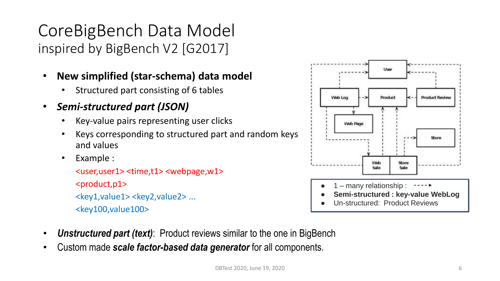CoreBigBench Data Model inspired by BigBench V2 [G2017]

- **New simplified (star-schema) data model**
	- Structured part consisting of 6 tables
- *Semi-structured part (JSON)*
	- Key-value pairs representing user clicks
	- Keys corresponding to structured part and random keys and values
	- Example :

<user,user1> <time,t1> <webpage,w1> <product,p1> <key1,value1> <key2,value2> ... <key100,value100>



- *Unstructured part (text)*: Product reviews similar to the one in BigBench
- Custom made *scale factor-based data generator* for all components.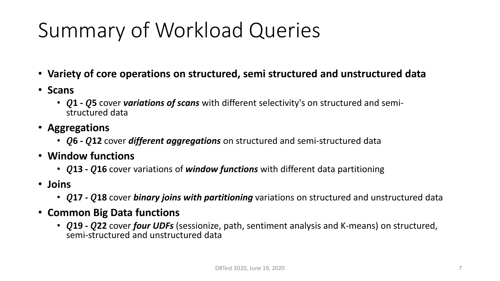# Summary of Workload Queries

- **Variety of core operations on structured, semi structured and unstructured data**
- **Scans**
	- **Q1 Q5** cover *variations of scans* with different selectivity's on structured and semistructured data
- **Aggregations**
	- **Q6 Q12** cover **different aggregations** on structured and semi-structured data
- **Window functions**
	- **Q13 Q16** cover variations of **window functions** with different data partitioning
- **Joins**
	- **17 - 18** cover *binary joins with partitioning* variations on structured and unstructured data
- **Common Big Data functions**
	- **19 - 22** cover *four UDFs* (sessionize, path, sentiment analysis and K-means) on structured, semi-structured and unstructured data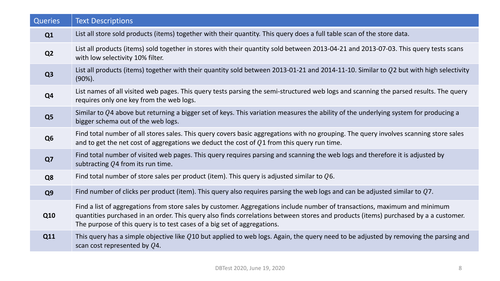| <b>Queries</b> | <b>Text Descriptions</b>                                                                                                                                                                                                                                                                                                                      |  |  |  |
|----------------|-----------------------------------------------------------------------------------------------------------------------------------------------------------------------------------------------------------------------------------------------------------------------------------------------------------------------------------------------|--|--|--|
| Q1             | List all store sold products (items) together with their quantity. This query does a full table scan of the store data.                                                                                                                                                                                                                       |  |  |  |
| Q <sub>2</sub> | List all products (items) sold together in stores with their quantity sold between 2013-04-21 and 2013-07-03. This query tests scans<br>with low selectivity 10% filter.                                                                                                                                                                      |  |  |  |
| Q <sub>3</sub> | List all products (items) together with their quantity sold between 2013-01-21 and 2014-11-10. Similar to Q2 but with high selectivity<br>$(90\%)$ .                                                                                                                                                                                          |  |  |  |
| Q <sub>4</sub> | List names of all visited web pages. This query tests parsing the semi-structured web logs and scanning the parsed results. The query<br>requires only one key from the web logs.                                                                                                                                                             |  |  |  |
| Q <sub>5</sub> | Similar to $Q$ 4 above but returning a bigger set of keys. This variation measures the ability of the underlying system for producing a<br>bigger schema out of the web logs.                                                                                                                                                                 |  |  |  |
| Q <sub>6</sub> | Find total number of all stores sales. This query covers basic aggregations with no grouping. The query involves scanning store sales<br>and to get the net cost of aggregations we deduct the cost of $Q1$ from this query run time.                                                                                                         |  |  |  |
| Q7             | Find total number of visited web pages. This query requires parsing and scanning the web logs and therefore it is adjusted by<br>subtracting Q4 from its run time.                                                                                                                                                                            |  |  |  |
| Q8             | Find total number of store sales per product (item). This query is adjusted similar to $Q6$ .                                                                                                                                                                                                                                                 |  |  |  |
| Q <sub>9</sub> | Find number of clicks per product (item). This query also requires parsing the web logs and can be adjusted similar to $Q7$ .                                                                                                                                                                                                                 |  |  |  |
| <b>Q10</b>     | Find a list of aggregations from store sales by customer. Aggregations include number of transactions, maximum and minimum<br>quantities purchased in an order. This query also finds correlations between stores and products (items) purchased by a a customer.<br>The purpose of this query is to test cases of a big set of aggregations. |  |  |  |
| Q11            | This query has a simple objective like $Q10$ but applied to web logs. Again, the query need to be adjusted by removing the parsing and<br>scan cost represented by $Q4$ .                                                                                                                                                                     |  |  |  |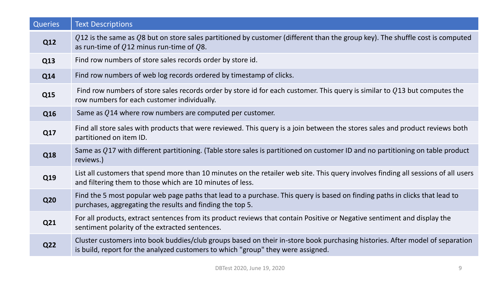| <b>Queries</b> | <b>Text Descriptions</b>                                                                                                                                                                                         |  |  |
|----------------|------------------------------------------------------------------------------------------------------------------------------------------------------------------------------------------------------------------|--|--|
| <b>Q12</b>     | $Q$ 12 is the same as Q8 but on store sales partitioned by customer (different than the group key). The shuffle cost is computed<br>as run-time of $Q12$ minus run-time of $Q8$ .                                |  |  |
| Q13            | Find row numbers of store sales records order by store id.                                                                                                                                                       |  |  |
| <b>Q14</b>     | Find row numbers of web log records ordered by timestamp of clicks.                                                                                                                                              |  |  |
| Q15            | Find row numbers of store sales records order by store id for each customer. This query is similar to $Q13$ but computes the<br>row numbers for each customer individually.                                      |  |  |
| Q16            | Same as Q14 where row numbers are computed per customer.                                                                                                                                                         |  |  |
| Q17            | Find all store sales with products that were reviewed. This query is a join between the stores sales and product reviews both<br>partitioned on item ID.                                                         |  |  |
| Q18            | Same as Q17 with different partitioning. (Table store sales is partitioned on customer ID and no partitioning on table product<br>reviews.)                                                                      |  |  |
| Q19            | List all customers that spend more than 10 minutes on the retailer web site. This query involves finding all sessions of all users<br>and filtering them to those which are 10 minutes of less.                  |  |  |
| <b>Q20</b>     | Find the 5 most popular web page paths that lead to a purchase. This query is based on finding paths in clicks that lead to<br>purchases, aggregating the results and finding the top 5.                         |  |  |
| Q21            | For all products, extract sentences from its product reviews that contain Positive or Negative sentiment and display the<br>sentiment polarity of the extracted sentences.                                       |  |  |
| <b>Q22</b>     | Cluster customers into book buddies/club groups based on their in-store book purchasing histories. After model of separation<br>is build, report for the analyzed customers to which "group" they were assigned. |  |  |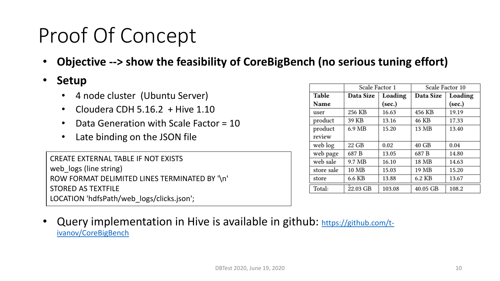## Proof Of Concept

• **Objective --> show the feasibility of CoreBigBench (no serious tuning effort)**

#### • **Setup**

- 4 node cluster (Ubuntu Server)
- Cloudera CDH  $5.16.2$  + Hive  $1.10$
- Data Generation with Scale Factor = 10
- Late binding on the JSON file

CREATE EXTERNAL TABLE IF NOT EXISTS web\_logs (line string) ROW FORMAT DELIMITED LINES TERMINATED BY '\n' STORED AS TEXTFILE LOCATION 'hdfsPath/web\_logs/clicks.json';

|            | Scale Factor 1 |         | Scale Factor 10 |         |
|------------|----------------|---------|-----------------|---------|
| Table      | Data Size      | Loading | Data Size       | Loading |
| Name       |                | (sec.)  |                 | (sec.)  |
| user       | 256 KB         | 16.63   | 456 KB          | 19.19   |
| product    | 39 KB          | 13.16   | 46 KB           | 17.33   |
| product    | 6.9 MB         | 15.20   | 13 MB           | 13.40   |
| review     |                |         |                 |         |
| web log    | 22 GB          | 0.02    | 40 GB           | 0.04    |
| web page   | 687 B          | 13.05   | 687 B           | 14.80   |
| web sale   | 9.7 MB         | 16.10   | 18 MB           | 14.63   |
| store sale | 10 MB          | 15.03   | 19 MB           | 15.20   |
| store      | 6.6 KB         | 13.88   | 6.2 KB          | 13.67   |
| Total:     | 22.03 GB       | 103.08  | 40.05 GB        | 108.2   |

Query implementation [in Hive is available in github:](https://github.com/t-ivanov/CoreBigBench) https://github.com/tivanov/CoreBigBench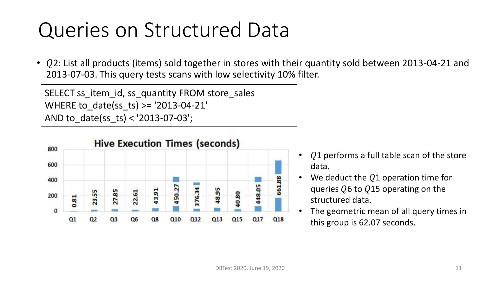### Queries on Structured Data

•  $Q$ 2: List all products (items) sold together in stores with their quantity sold between 2013-04-21 and 2013-07-03. This query tests scans with low selectivity 10% filter.

SELECT ss\_item\_id, ss\_quantity FROM store\_sales WHERE to\_date(ss\_ts) >= '2013-04-21' AND to\_date(ss\_ts) < '2013-07-03';



- $\Omega$ 1 performs a full table scan of the store data.
- We deduct the  $Q1$  operation time for queries  $Q6$  to  $Q15$  operating on the structured data.
- The geometric mean of all query times in this group is 62.07 seconds.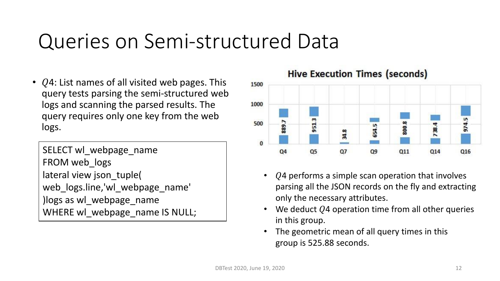### Queries on Semi-structured Data

•  $Q4$ : List names of all visited web pages. This query tests parsing the semi-structured web logs and scanning the parsed results. The query requires only one key from the web logs.

SELECT wl webpage name FROM web\_logs lateral view json\_tuple( web\_logs.line,'wl\_webpage\_name' )logs as wl\_webpage\_name WHERE wl\_webpage\_name IS NULL; **Hive Execution Times (seconds)** 



- $Q4$  performs a simple scan operation that involves parsing all the JSON records on the fly and extracting only the necessary attributes.
- We deduct  $Q4$  operation time from all other queries in this group.
- The geometric mean of all query times in this group is 525.88 seconds.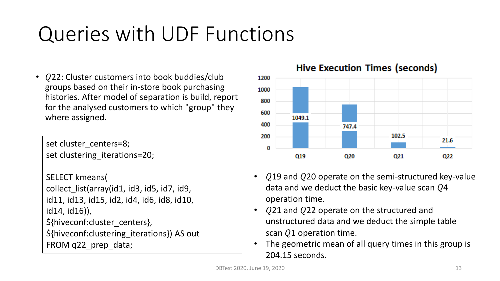## Queries with UDF Functions

• Q22: Cluster customers into book buddies/club groups based on their in-store book purchasing histories. After model of separation is build, report for the analysed customers to which "group" they where assigned.

set cluster\_centers=8; set clustering iterations=20;

```
SELECT kmeans(
collect list(array(id1, id3, id5, id7, id9,
id11, id13, id15, id2, id4, id6, id8, id10,
id14, id16)),
${hiveconf:cluster_centers},
${hiveconf:clustering_iterations}) AS out
FROM q22 prep_data;
```
**Hive Execution Times (seconds)** 



- $Q$ 19 and  $Q$ 20 operate on the semi-structured key-value data and we deduct the basic key-value scan  $Q4$ operation time.
- Q21 and Q22 operate on the structured and unstructured data and we deduct the simple table scan  $Q1$  operation time.
- The geometric mean of all query times in this group is 204.15 seconds.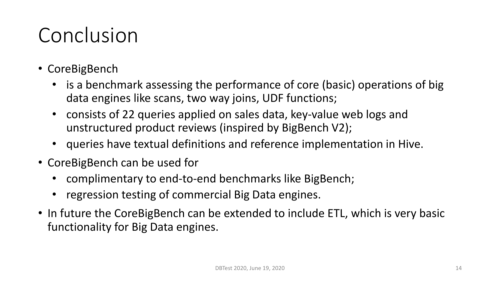## Conclusion

- CoreBigBench
	- is a benchmark assessing the performance of core (basic) operations of big data engines like scans, two way joins, UDF functions;
	- consists of 22 queries applied on sales data, key-value web logs and unstructured product reviews (inspired by BigBench V2);
	- queries have textual definitions and reference implementation in Hive.
- CoreBigBench can be used for
	- complimentary to end-to-end benchmarks like BigBench;
	- regression testing of commercial Big Data engines.
- In future the CoreBigBench can be extended to include ETL, which is very basic functionality for Big Data engines.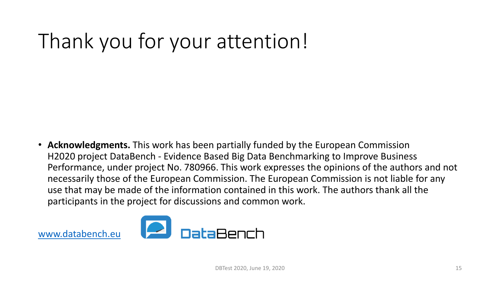# Thank you for your attention!

• **Acknowledgments.** This work has been partially funded by the European Commission H2020 project DataBench - Evidence Based Big Data Benchmarking to Improve Business Performance, under project No. 780966. This work expresses the opinions of the authors and not necessarily those of the European Commission. The European Commission is not liable for any use that may be made of the information contained in this work. The authors thank all the participants in the project for discussions and common work.



[www.databench.eu](http://www.databench.eu/)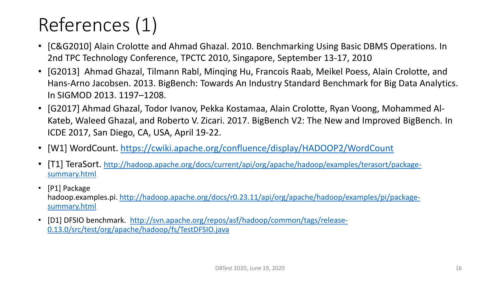### References (1)

- [C&G2010] Alain Crolotte and Ahmad Ghazal. 2010. Benchmarking Using Basic DBMS Operations. In 2nd TPC Technology Conference, TPCTC 2010, Singapore, September 13-17, 2010
- [G2013] Ahmad Ghazal, Tilmann Rabl, Minqing Hu, Francois Raab, Meikel Poess, Alain Crolotte, and Hans-Arno Jacobsen. 2013. BigBench: Towards An Industry Standard Benchmark for Big Data Analytics. In SIGMOD 2013. 1197–1208.
- [G2017] Ahmad Ghazal, Todor Ivanov, Pekka Kostamaa, Alain Crolotte, Ryan Voong, Mohammed Al-Kateb, Waleed Ghazal, and Roberto V. Zicari. 2017. BigBench V2: The New and Improved BigBench. In ICDE 2017, San Diego, CA, USA, April 19-22.
- [W1] WordCount. <https://cwiki.apache.org/confluence/display/HADOOP2/WordCount>
- [T1] TeraSort. [http://hadoop.apache.org/docs/current/api/org/apache/hadoop/examples/terasort/package](http://hadoop.apache.org/docs/current/api/org/apache/hadoop/examples/terasort/package-summary.html)summary.html
- [P1] Package hadoop.examples.pi. [http://hadoop.apache.org/docs/r0.23.11/api/org/apache/hadoop/examples/pi/package](http://hadoop.apache.org/docs/r0.23.11/api/org/apache/hadoop/examples/pi/package-summary.html)summary.html
- [D1] DFSIO benchmark. [http://svn.apache.org/repos/asf/hadoop/common/tags/release-](http://svn.apache.org/repos/asf/hadoop/common/tags/release-0.13.0/src/test/org/apache/hadoop/fs/TestDFSIO.java)0.13.0/src/test/org/apache/hadoop/fs/TestDFSIO.java